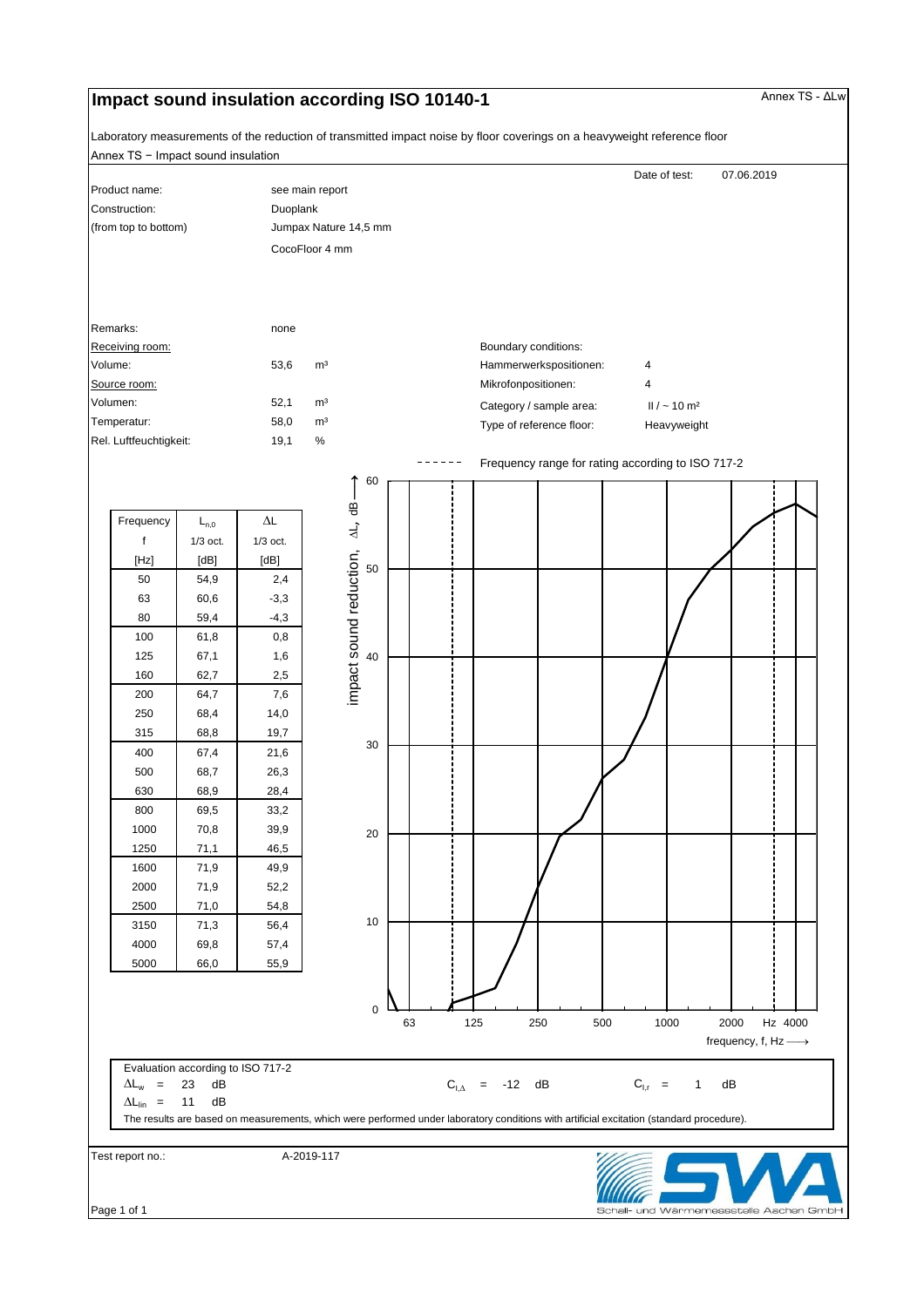## **Impact sound insulation according ISO 10140-1 Annex TS - ΔLw** Annex TS - ΔLw

Annex TS − Impact sound insulation Laboratory measurements of the reduction of transmitted impact noise by floor coverings on a heavyweight reference floor

| Construction:<br>(from top to bottom)  |                              |                              | CocoFloor 4 mm |                                 |                       |                             |                         |                                                   |                               |  |  |
|----------------------------------------|------------------------------|------------------------------|----------------|---------------------------------|-----------------------|-----------------------------|-------------------------|---------------------------------------------------|-------------------------------|--|--|
|                                        |                              |                              |                |                                 |                       | see main report<br>Duoplank |                         |                                                   |                               |  |  |
| Remarks:<br>Receiving room:<br>Volume: |                              |                              |                |                                 | Jumpax Nature 14,5 mm |                             |                         |                                                   |                               |  |  |
|                                        |                              |                              |                |                                 |                       |                             |                         |                                                   |                               |  |  |
|                                        |                              |                              |                |                                 |                       |                             |                         |                                                   |                               |  |  |
|                                        |                              |                              |                |                                 |                       |                             |                         |                                                   |                               |  |  |
|                                        |                              | none                         |                |                                 |                       |                             |                         |                                                   |                               |  |  |
|                                        |                              |                              |                |                                 |                       | Boundary conditions:        |                         |                                                   |                               |  |  |
|                                        |                              | 53,6                         | m <sup>3</sup> |                                 |                       |                             | Hammerwerkspositionen:  | 4                                                 |                               |  |  |
| Source room:                           |                              |                              |                |                                 |                       | Mikrofonpositionen:         |                         | 4                                                 |                               |  |  |
| Volumen:                               |                              | 52,1                         | m <sup>3</sup> |                                 |                       |                             | Category / sample area: |                                                   | $II / \sim 10$ m <sup>2</sup> |  |  |
| Temperatur:                            |                              | 58,0                         | m <sup>3</sup> |                                 |                       | Type of reference floor:    |                         |                                                   | Heavyweight                   |  |  |
| Rel. Luftfeuchtigkeit:                 |                              | 19,1                         | $\%$           |                                 |                       |                             |                         |                                                   |                               |  |  |
|                                        |                              |                              |                |                                 |                       |                             |                         | Frequency range for rating according to ISO 717-2 |                               |  |  |
|                                        |                              |                              |                | 60                              |                       |                             |                         |                                                   |                               |  |  |
| Frequency                              | $L_{n,0}$                    | $\Delta \mathsf{L}$          |                | impact sound reduction, AL, dB- |                       |                             |                         |                                                   |                               |  |  |
| f                                      | $1/3$ oct.                   | $1/3$ oct.                   |                |                                 |                       |                             |                         |                                                   |                               |  |  |
| [Hz]                                   | [dB]                         | [dB]                         |                |                                 |                       |                             |                         |                                                   |                               |  |  |
| 50                                     | 54,9                         | 2,4                          |                | 50                              |                       |                             |                         |                                                   |                               |  |  |
| 63                                     | 60,6                         | $-3,3$                       |                |                                 |                       |                             |                         |                                                   |                               |  |  |
| 80                                     | 59,4                         | $-4,3$                       |                |                                 |                       |                             |                         |                                                   |                               |  |  |
| 100                                    | 61,8                         | 0,8                          |                |                                 |                       |                             |                         |                                                   |                               |  |  |
| 125                                    | 67,1                         | 1,6                          |                | 40                              |                       |                             |                         |                                                   |                               |  |  |
| 160                                    | 62,7                         | 2,5                          |                |                                 |                       |                             |                         |                                                   |                               |  |  |
| 200                                    | 64,7                         | 7,6                          |                |                                 |                       |                             |                         |                                                   |                               |  |  |
| 250                                    | 68,4                         | 14,0                         |                |                                 |                       |                             |                         |                                                   |                               |  |  |
| 315                                    | 68,8                         | 19,7                         |                | 30                              |                       |                             |                         |                                                   |                               |  |  |
| 400                                    | 67,4                         | 21,6                         |                |                                 |                       |                             |                         |                                                   |                               |  |  |
| 500                                    | 68,7                         | 26,3                         |                |                                 |                       |                             |                         |                                                   |                               |  |  |
| 630                                    | 68,9                         | 28,4                         |                |                                 |                       |                             |                         |                                                   |                               |  |  |
| 800                                    | 69,5                         | 33,2                         |                |                                 |                       |                             |                         |                                                   |                               |  |  |
| 1000                                   | 70,8                         | 39,9                         |                | 20                              |                       |                             |                         |                                                   |                               |  |  |
| 1250                                   | 71,1                         | 46,5                         |                |                                 |                       |                             |                         |                                                   |                               |  |  |
| 1600                                   | 71,9                         | 49,9                         |                |                                 |                       |                             |                         |                                                   |                               |  |  |
| 2000                                   | 71,9                         | 52,2                         |                |                                 |                       |                             |                         |                                                   |                               |  |  |
|                                        |                              |                              |                | 10                              |                       |                             |                         |                                                   |                               |  |  |
|                                        |                              |                              |                |                                 |                       |                             |                         |                                                   |                               |  |  |
|                                        |                              |                              |                |                                 |                       |                             |                         |                                                   |                               |  |  |
| 2500<br>3150<br>4000<br>5000           | 71,0<br>71,3<br>69,8<br>66,0 | 54,8<br>56,4<br>57,4<br>55,9 |                |                                 |                       |                             |                         |                                                   |                               |  |  |

 $\overline{\phantom{a}}$ Schall- und Wärmemessstelle Aachen GmbH

Page 1 of 1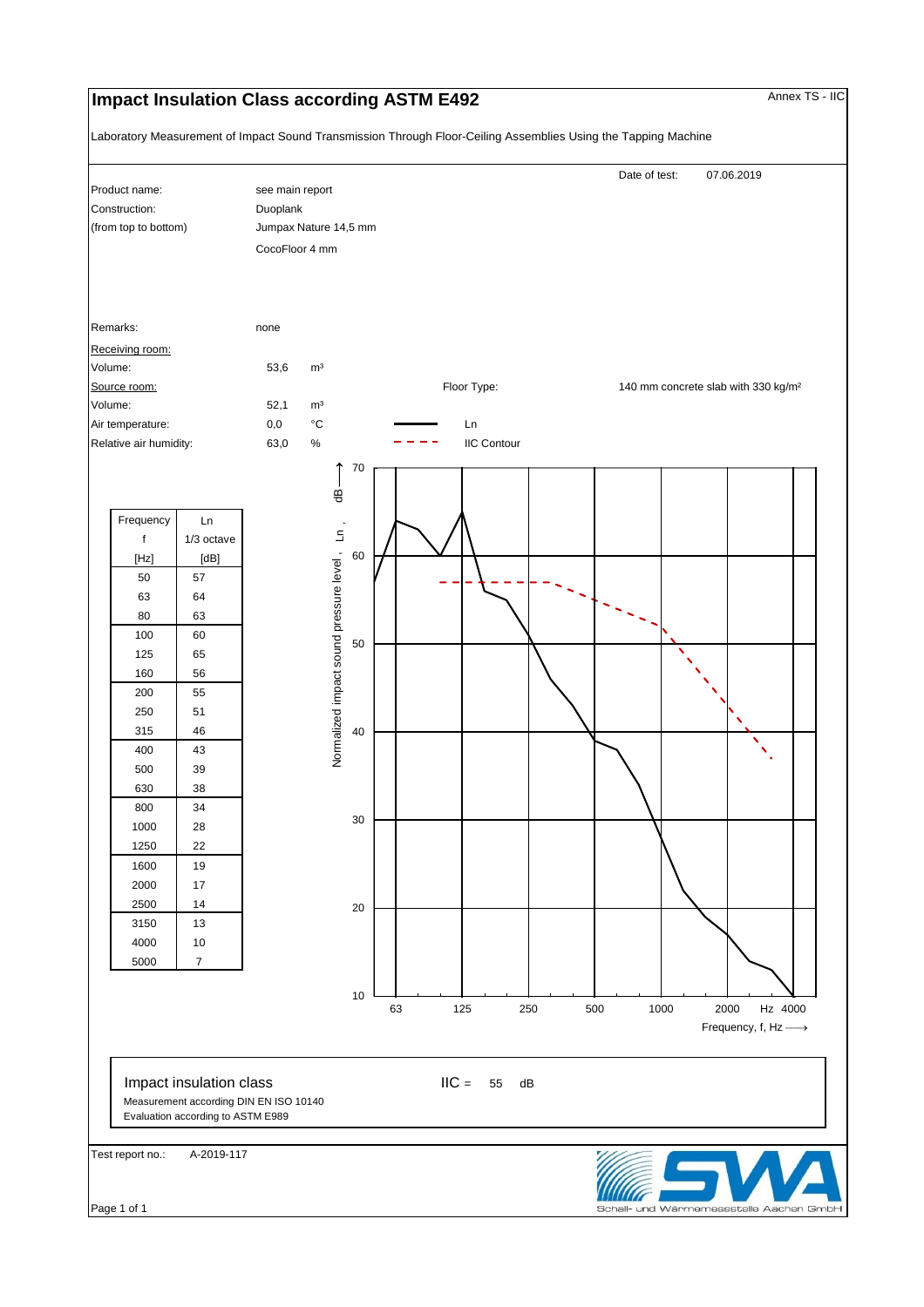## **Impact Insulation Class according ASTM E492** Annex TS - IIC

Laboratory Measurement of Impact Sound Transmission Through Floor-Ceiling Assemblies Using the Tapping Machine